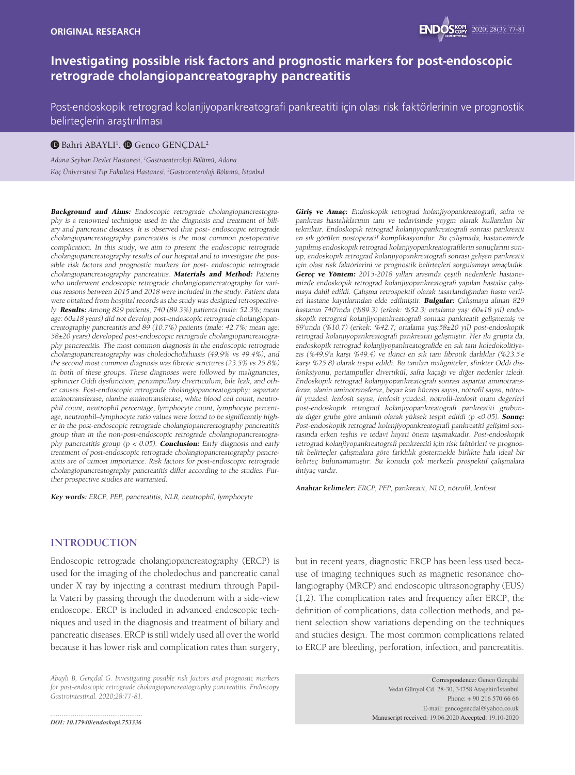# **Investigating possible risk factors and prognostic markers for post-endoscopic retrograde cholangiopancreatography pancreatitis**

Post-endoskopik retrograd kolanjiyopankreatografi pankreatiti için olası risk faktörlerinin ve prognostik belirteçlerin araştırılması

#### $\mathbf 0$  Bahri ABAYLI<sup>1</sup>,  $\mathbf 0$  Genco GENÇDAL<del>'</del>

*Adana Seyhan Devlet Hastanesi, 1 Gastroenteroloji Bölümü, Adana Koç Üniversitesi Tıp Fakültesi Hastanesi, 2 Gastroenteroloji Bölümü, İstanbul*

Background and Aims: Endoscopic retrograde cholangiopancreatography is a renowned technique used in the diagnosis and treatment of biliary and pancreatic diseases. It is observed that post- endoscopic retrograde cholangiopancreatography pancreatitis is the most common postoperative complication. In this study, we aim to present the endoscopic retrograde cholangiopancreatography results of our hospital and to investigate the possible risk factors and prognostic markers for post- endoscopic retrograde cholangiopancreatography pancreatitis. Materials and Method: Patients who underwent endoscopic retrograde cholangiopancreatography for various reasons between 2015 and 2018 were included in the study. Patient data were obtained from hospital records as the study was designed retrospectively. Results: Among 829 patients, 740 (89.3%) patients (male: 52.3%; mean age: 60±18 years) did not develop post-endoscopic retrograde cholangiopancreatography pancreatitis and 89 (10.7%) patients (male: 42.7%; mean age: 58±20 years) developed post-endoscopic retrograde cholangiopancreatography pancreatitis. The most common diagnosis in the endoscopic retrograde cholangiopancreatography was choledocholithiasis (49.9% vs 49.4%), and the second most common diagnosis was fibrotic strictures (23.5% vs 25.8%) in both of these groups. These diagnoses were followed by malignancies, sphincter Oddi dysfunction, periampullary diverticulum, bile leak, and other causes. Post-endoscopic retrograde cholangiopancreatography; aspartate aminotransferase, alanine aminotransferase, white blood cell count, neutrophil count, neutrophil percentage, lymphocyte count, lymphocyte percentage, neutrophil–lymphocyte ratio values were found to be significantly higher in the post-endoscopic retrograde cholangiopancreatography pancreatitis group than in the non-post-endoscopic retrograde cholangiopancreatography pancreatitis group ( $p < 0.05$ ). **Conclusion:** Early diagnosis and early treatment of post-endoscopic retrograde cholangiopancreatography pancreatitis are of utmost importance. Risk factors for post-endoscopic retrograde cholangiopancreatography pancreatitis differ according to the studies. Further prospective studies are warranted.

**Key words:** ERCP, PEP, pancreatitis, NLR, neutrophil, lymphocyte

Giriş ve Amaç: Endoskopik retrograd kolanjiyopankreatografi, safra ve pankreas hastalıklarının tanı ve tedavisinde yaygın olarak kullanılan bir tekniktir. Endoskopik retrograd kolanjiyopankreatografi sonrası pankreatit en sık görülen postoperatif komplikasyondur. Bu çalışmada, hastanemizde yapılmış endoskopik retrograd kolanjiyopankreatografilerin sonuçlarını sunup, endoskopik retrograd kolanjiyopankreatografi sonrası gelişen pankreatit için olası risk faktörlerini ve prognostik belirteçleri sorgulamayı amaçladık. Gereç ve Yöntem: 2015-2018 yılları arasında çeşitli nedenlerle hastanemizde endoskopik retrograd kolanjiyopankreatografi yapılan hastalar çalışmaya dahil edildi. Çalışma retrospektif olarak tasarlandığından hasta verileri hastane kayıtlarından elde edilmiştir. Bulgular: Çalışmaya alınan 829 hastanın 740'ında (%89.3) (erkek: %52.3; ortalama yaş: 60±18 yıl) endoskopik retrograd kolanjiyopankreatografi sonrası pankreatit gelişmemiş ve 89'unda (%10.7) (erkek: %42.7; ortalama yaş:58±20 yıl) post-endoskopik retrograd kolanjiyopankreatografi pankreatiti gelişmiştir. Her iki grupta da, endoskopik retrograd kolanjiyopankreatografide en sık tanı koledokolitiyazis (%49.9'a karşı %49.4) ve ikinci en sık tanı fibrotik darlıklar (%23.5'e karşı %25.8) olarak tespit edildi. Bu tanıları maligniteler, sfinkter Oddi disfonksiyonu, periampuller divertikül, safra kaçağı ve diğer nedenler izledi. Endoskopik retrograd kolanjiyopankreatografi sonrası aspartat aminotransferaz, alanin aminotransferaz, beyaz kan hücresi sayısı, nötrofil sayısı, nötrofil yüzdesi, lenfosit sayısı, lenfosit yüzdesi, nötrofil-lenfosit oranı değerleri post-endoskopik retrograd kolanjiyopankreatografi pankreatiti grubunda diğer gruba göre anlamlı olarak yüksek tespit edildi (p <0.05). Sonuç: Post-endoskopik retrograd kolanjiyopankreatografi pankreatiti gelişimi sonrasında erken teşhis ve tedavi hayati önem taşımaktadır. Post-endoskopik retrograd kolanjiyopankreatografi pankreatiti için risk faktörleri ve prognostik belirteçler çalışmalara göre farklılık göstermekle birlikte hala ideal bir belirteç bulunamamıştır. Bu konuda çok merkezli prospektif çalışmalara ihtiyaç vardır.

**Anahtar kelimeler:** ERCP, PEP, pankreatit, NLO, nötrofil, lenfosit

### **INTRODUCTION**

Endoscopic retrograde cholangiopancreatography (ERCP) is used for the imaging of the choledochus and pancreatic canal under X ray by injecting a contrast medium through Papilla Vateri by passing through the duodenum with a side-view endoscope. ERCP is included in advanced endoscopic techniques and used in the diagnosis and treatment of biliary and pancreatic diseases. ERCP is still widely used all over the world because it has lower risk and complication rates than surgery,

*Abaylı B, Gençdal G. Investigating possible risk factors and prognostic markers for post-endoscopic retrograde cholangiopancreatography pancreatitis. Endoscopy Gastrointestinal. 2020;28:77-81.*

*DOI: 10.17940/endoskopi.753336*

but in recent years, diagnostic ERCP has been less used because of imaging techniques such as magnetic resonance cholangiography (MRCP) and endoscopic ultrasonography (EUS) (1,2). The complication rates and frequency after ERCP, the definition of complications, data collection methods, and patient selection show variations depending on the techniques and studies design. The most common complications related to ERCP are bleeding, perforation, infection, and pancreatitis.

> Correspondence: Genco Gençdal Vedat Günyol Cd. 28-30, 34758 Ataşehir/İstanbul Phone: + 90 216 570 66 66 E-mail: gencogencdal@yahoo.co.uk Manuscript received: 19.06.2020 Accepted: 19.10-2020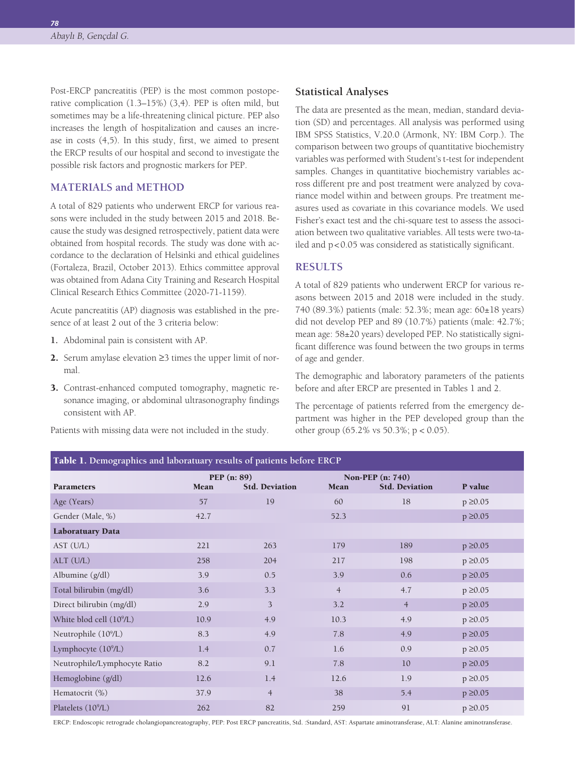*78*

Post-ERCP pancreatitis (PEP) is the most common postoperative complication (1.3–15%) (3,4). PEP is often mild, but sometimes may be a life-threatening clinical picture. PEP also increases the length of hospitalization and causes an increase in costs (4,5). In this study, first, we aimed to present the ERCP results of our hospital and second to investigate the possible risk factors and prognostic markers for PEP.

# **MATERIALS and METHOD**

A total of 829 patients who underwent ERCP for various reasons were included in the study between 2015 and 2018. Because the study was designed retrospectively, patient data were obtained from hospital records. The study was done with accordance to the declaration of Helsinki and ethical guidelines (Fortaleza, Brazil, October 2013). Ethics committee approval was obtained from Adana City Training and Research Hospital Clinical Research Ethics Committee (2020-71-1159).

Acute pancreatitis (AP) diagnosis was established in the presence of at least 2 out of the 3 criteria below:

- **1.** Abdominal pain is consistent with AP.
- 2. Serum amylase elevation ≥3 times the upper limit of normal.
- 3. Contrast-enhanced computed tomography, magnetic resonance imaging, or abdominal ultrasonography findings consistent with AP.

Patients with missing data were not included in the study.

### **Statistical Analyses**

The data are presented as the mean, median, standard deviation (SD) and percentages. All analysis was performed using IBM SPSS Statistics, V.20.0 (Armonk, NY: IBM Corp.). The comparison between two groups of quantitative biochemistry variables was performed with Student's t-test for independent samples. Changes in quantitative biochemistry variables across different pre and post treatment were analyzed by covariance model within and between groups. Pre treatment measures used as covariate in this covariance models. We used Fisher's exact test and the chi-square test to assess the association between two qualitative variables. All tests were two-tailed and p<0.05 was considered as statistically significant.

# **RESULTS**

A total of 829 patients who underwent ERCP for various reasons between 2015 and 2018 were included in the study. 740 (89.3%) patients (male: 52.3%; mean age: 60±18 years) did not develop PEP and 89 (10.7%) patients (male: 42.7%; mean age: 58±20 years) developed PEP. No statistically significant difference was found between the two groups in terms of age and gender.

The demographic and laboratory parameters of the patients before and after ERCP are presented in Tables 1 and 2.

The percentage of patients referred from the emergency department was higher in the PEP developed group than the other group (65.2% vs 50.3%; p < 0.05).

| Table 1. Demographics and laboratuary results of patients before ERCP |                     |                       |                |                                                  |               |  |  |  |
|-----------------------------------------------------------------------|---------------------|-----------------------|----------------|--------------------------------------------------|---------------|--|--|--|
| <b>Parameters</b>                                                     | PEP (n: 89)<br>Mean | <b>Std. Deviation</b> | Mean           | <b>Non-PEP</b> (n: 740)<br><b>Std. Deviation</b> | P value       |  |  |  |
| Age (Years)                                                           | 57                  | 19                    | 60             | 18                                               | $p \ge 0.05$  |  |  |  |
| Gender (Male, %)                                                      | 42.7                |                       | 52.3           |                                                  | $p \ge 0.05$  |  |  |  |
| <b>Laboratuary Data</b>                                               |                     |                       |                |                                                  |               |  |  |  |
| AST (U/L)                                                             | 221                 | 263                   | 179            | 189                                              | $p \ge 0.05$  |  |  |  |
| ALT (U/L)                                                             | 258                 | 204                   | 217            | 198                                              | $p \geq 0.05$ |  |  |  |
| Albumine (g/dl)                                                       | 3.9                 | 0.5                   | 3.9            | 0.6                                              | $p \geq 0.05$ |  |  |  |
| Total bilirubin (mg/dl)                                               | 3.6                 | 3.3                   | $\overline{4}$ | 4.7                                              | $p \ge 0.05$  |  |  |  |
| Direct bilirubin (mg/dl)                                              | 2.9                 | 3                     | 3.2            | $\overline{4}$                                   | $p \ge 0.05$  |  |  |  |
| White blod cell (10 <sup>9</sup> /L)                                  | 10.9                | 4.9                   | 10.3           | 4.9                                              | $p \ge 0.05$  |  |  |  |
| Neutrophile (10 <sup>9</sup> /L)                                      | 8.3                 | 4.9                   | 7.8            | 4.9                                              | $p \ge 0.05$  |  |  |  |
| Lymphocyte (10 <sup>9</sup> /L)                                       | 1.4                 | 0.7                   | 1.6            | 0.9                                              | $p \ge 0.05$  |  |  |  |
| Neutrophile/Lymphocyte Ratio                                          | 8.2                 | 9.1                   | $7.8\,$        | 10                                               | $p \geq 0.05$ |  |  |  |
| Hemoglobine (g/dl)                                                    | 12.6                | 1.4                   | 12.6           | 1.9                                              | $p \ge 0.05$  |  |  |  |
| Hematocrit (%)                                                        | 37.9                | $\overline{4}$        | 38             | 5.4                                              | $p \ge 0.05$  |  |  |  |
| Platelets (10 <sup>9</sup> /L)                                        | 262                 | 82                    | 259            | 91                                               | $p \ge 0.05$  |  |  |  |

ERCP: Endoscopic retrograde cholangiopancreatography, PEP: Post ERCP pancreatitis, Std. :Standard, AST: Aspartate aminotransferase, ALT: Alanine aminotransferase.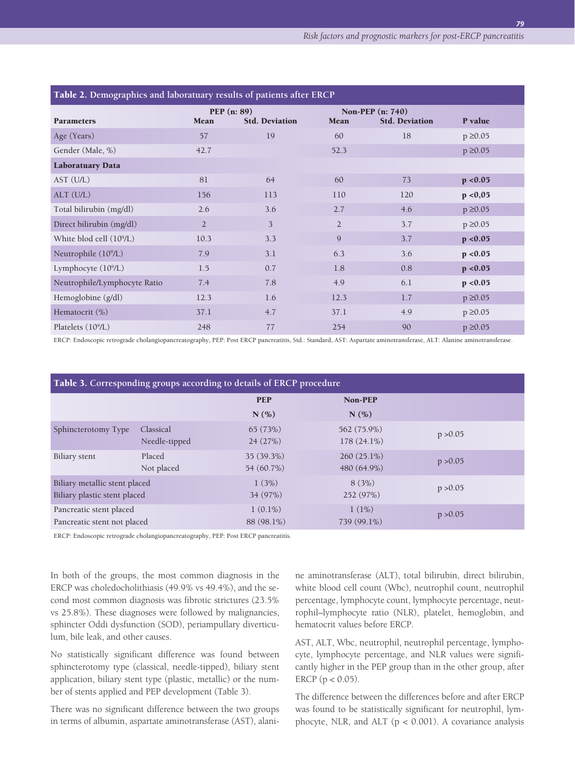| Table 2. Demographics and laboratuary results of patients after ERCP |                |                                        |                                                                            |     |               |  |  |  |
|----------------------------------------------------------------------|----------------|----------------------------------------|----------------------------------------------------------------------------|-----|---------------|--|--|--|
| <b>Parameters</b>                                                    | Mean           | PEP $(n: 89)$<br><b>Std. Deviation</b> | <b>Non-PEP</b> (n: 740)<br>P value<br><b>Mean</b><br><b>Std. Deviation</b> |     |               |  |  |  |
| Age (Years)                                                          | 57             | 19                                     | 60                                                                         | 18  | $p \ge 0.05$  |  |  |  |
| Gender (Male, %)                                                     | 42.7           |                                        | 52.3                                                                       |     | $p \ge 0.05$  |  |  |  |
| <b>Laboratuary Data</b>                                              |                |                                        |                                                                            |     |               |  |  |  |
| AST (U/L)                                                            | 81             | 64                                     | 60                                                                         | 73  | p < 0.05      |  |  |  |
| ALT (U/L)                                                            | 156            | 113                                    | 110                                                                        | 120 | p < 0,05      |  |  |  |
| Total bilirubin (mg/dl)                                              | 2.6            | 3.6                                    | 2.7                                                                        | 4.6 | $p \ge 0.05$  |  |  |  |
| Direct bilirubin (mg/dl)                                             | $\overline{2}$ | 3                                      | $\overline{2}$                                                             | 3.7 | $p \geq 0.05$ |  |  |  |
| White blod cell (10 <sup>9</sup> /L)                                 | 10.3           | 3.3                                    | 9                                                                          | 3.7 | p < 0.05      |  |  |  |
| Neutrophile $(10^9/L)$                                               | 7.9            | 3.1                                    | 6.3                                                                        | 3.6 | p < 0.05      |  |  |  |
| Lymphocyte $(10^9/L)$                                                | 1.5            | 0.7                                    | 1.8                                                                        | 0.8 | p < 0.05      |  |  |  |
| Neutrophile/Lymphocyte Ratio                                         | 7.4            | 7.8                                    | 4.9                                                                        | 6.1 | p < 0.05      |  |  |  |
| Hemoglobine (g/dl)                                                   | 12.3           | 1.6                                    | 12.3                                                                       | 1.7 | $p \ge 0.05$  |  |  |  |
| Hematocrit (%)                                                       | 37.1           | 4.7                                    | 37.1                                                                       | 4.9 | $p \ge 0.05$  |  |  |  |
| Platelets (10 <sup>9</sup> /L)                                       | 248            | 77                                     | 254                                                                        | 90  | $p \ge 0.05$  |  |  |  |

ERCP: Endoscopic retrograde cholangiopancreatography, PEP: Post ERCP pancreatitis, Std.: Standard, AST: Aspartate aminotransferase, ALT: Alanine aminotransferase.

| Table 3. Corresponding groups according to details of ERCP procedure |                            |                          |                              |          |  |  |
|----------------------------------------------------------------------|----------------------------|--------------------------|------------------------------|----------|--|--|
|                                                                      |                            | <b>PEP</b>               | <b>Non-PEP</b>               |          |  |  |
|                                                                      |                            | N(% )                    | N(% )                        |          |  |  |
| Sphincterotomy Type                                                  | Classical<br>Needle-tipped | 65(73%)<br>24(27%)       | 562 (75.9%)<br>$178(24.1\%)$ | p > 0.05 |  |  |
| Biliary stent                                                        | Placed<br>Not placed       | 35 (39.3%)<br>54 (60.7%) | $260(25.1\%)$<br>480 (64.9%) | p > 0.05 |  |  |
| Biliary metallic stent placed<br>Biliary plastic stent placed        |                            | 1(3%)<br>34 (97%)        | 8(3%)<br>252 (97%)           | p > 0.05 |  |  |
| Pancreatic stent placed<br>Pancreatic stent not placed               |                            | $1(0.1\%)$<br>88 (98.1%) | 1(1%)<br>739 (99.1%)         | p > 0.05 |  |  |

ERCP: Endoscopic retrograde cholangiopancreatography, PEP: Post ERCP pancreatitis.

In both of the groups, the most common diagnosis in the ERCP was choledocholithiasis (49.9% vs 49.4%), and the second most common diagnosis was fibrotic strictures (23.5% vs 25.8%). These diagnoses were followed by malignancies, sphincter Oddi dysfunction (SOD), periampullary diverticulum, bile leak, and other causes.

No statistically significant difference was found between sphincterotomy type (classical, needle-tipped), biliary stent application, biliary stent type (plastic, metallic) or the number of stents applied and PEP development (Table 3).

There was no significant difference between the two groups in terms of albumin, aspartate aminotransferase (AST), alanine aminotransferase (ALT), total bilirubin, direct bilirubin, white blood cell count (Wbc), neutrophil count, neutrophil percentage, lymphocyte count, lymphocyte percentage, neutrophil–lymphocyte ratio (NLR), platelet, hemoglobin, and hematocrit values before ERCP.

AST, ALT, Wbc, neutrophil, neutrophil percentage, lymphocyte, lymphocyte percentage, and NLR values were significantly higher in the PEP group than in the other group, after ERCP ( $p < 0.05$ ).

The difference between the differences before and after ERCP was found to be statistically significant for neutrophil, lymphocyte, NLR, and ALT  $(p < 0.001)$ . A covariance analysis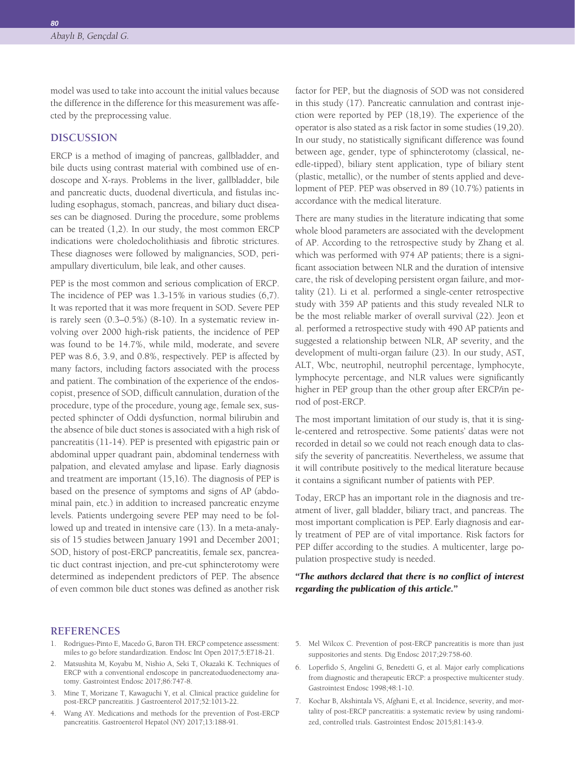*80*

model was used to take into account the initial values because the difference in the difference for this measurement was affected by the preprocessing value.

### **DISCUSSION**

ERCP is a method of imaging of pancreas, gallbladder, and bile ducts using contrast material with combined use of endoscope and X-rays. Problems in the liver, gallbladder, bile and pancreatic ducts, duodenal diverticula, and fistulas including esophagus, stomach, pancreas, and biliary duct diseases can be diagnosed. During the procedure, some problems can be treated (1,2). In our study, the most common ERCP indications were choledocholithiasis and fibrotic strictures. These diagnoses were followed by malignancies, SOD, periampullary diverticulum, bile leak, and other causes.

PEP is the most common and serious complication of ERCP. The incidence of PEP was 1.3-15% in various studies (6,7). It was reported that it was more frequent in SOD. Severe PEP is rarely seen (0.3–0.5%) (8-10). In a systematic review involving over 2000 high-risk patients, the incidence of PEP was found to be 14.7%, while mild, moderate, and severe PEP was 8.6, 3.9, and 0.8%, respectively. PEP is affected by many factors, including factors associated with the process and patient. The combination of the experience of the endoscopist, presence of SOD, difficult cannulation, duration of the procedure, type of the procedure, young age, female sex, suspected sphincter of Oddi dysfunction, normal bilirubin and the absence of bile duct stones is associated with a high risk of pancreatitis (11-14). PEP is presented with epigastric pain or abdominal upper quadrant pain, abdominal tenderness with palpation, and elevated amylase and lipase. Early diagnosis and treatment are important (15,16). The diagnosis of PEP is based on the presence of symptoms and signs of AP (abdominal pain, etc.) in addition to increased pancreatic enzyme levels. Patients undergoing severe PEP may need to be followed up and treated in intensive care (13). In a meta-analysis of 15 studies between January 1991 and December 2001; SOD, history of post-ERCP pancreatitis, female sex, pancreatic duct contrast injection, and pre-cut sphincterotomy were determined as independent predictors of PEP. The absence of even common bile duct stones was defined as another risk

factor for PEP, but the diagnosis of SOD was not considered in this study (17). Pancreatic cannulation and contrast injection were reported by PEP (18,19). The experience of the operator is also stated as a risk factor in some studies (19,20). In our study, no statistically significant difference was found between age, gender, type of sphincterotomy (classical, needle-tipped), biliary stent application, type of biliary stent (plastic, metallic), or the number of stents applied and development of PEP. PEP was observed in 89 (10.7%) patients in accordance with the medical literature.

There are many studies in the literature indicating that some whole blood parameters are associated with the development of AP. According to the retrospective study by Zhang et al. which was performed with 974 AP patients; there is a significant association between NLR and the duration of intensive care, the risk of developing persistent organ failure, and mortality (21). Li et al. performed a single-center retrospective study with 359 AP patients and this study revealed NLR to be the most reliable marker of overall survival (22). Jeon et al. performed a retrospective study with 490 AP patients and suggested a relationship between NLR, AP severity, and the development of multi-organ failure (23). In our study, AST, ALT, Wbc, neutrophil, neutrophil percentage, lymphocyte, lymphocyte percentage, and NLR values were significantly higher in PEP group than the other group after ERCP/in perıod of post-ERCP.

The most important limitation of our study is, that it is single-centered and retrospective. Some patients' datas were not recorded in detail so we could not reach enough data to classify the severity of pancreatitis. Nevertheless, we assume that it will contribute positively to the medical literature because it contains a significant number of patients with PEP.

Today, ERCP has an important role in the diagnosis and treatment of liver, gall bladder, biliary tract, and pancreas. The most important complication is PEP. Early diagnosis and early treatment of PEP are of vital importance. Risk factors for PEP differ according to the studies. A multicenter, large population prospective study is needed.

#### *"The authors declared that there is no conflict of interest regarding the publication of this article."*

#### **REFERENCES**

- 1. Rodrigues-Pinto E, Macedo G, Baron TH. ERCP competence assessment: miles to go before standardization. Endosc Int Open 2017;5:E718-21.
- 2. Matsushita M, Koyabu M, Nishio A, Seki T, Okazaki K. Techniques of ERCP with a conventional endoscope in pancreatoduodenectomy anatomy. Gastrointest Endosc 2017;86:747-8.
- 3. Mine T, Morizane T, Kawaguchi Y, et al. Clinical practice guideline for post-ERCP pancreatitis. J Gastroenterol 2017;52:1013-22.
- 4. Wang AY. Medications and methods for the prevention of Post-ERCP pancreatitis. Gastroenterol Hepatol (NY) 2017;13:188-91.
- 5. Mel Wilcox C. Prevention of post-ERCP pancreatitis is more than just suppositories and stents. Dig Endosc 2017;29:758-60.
- 6. Loperfido S, Angelini G, Benedetti G, et al. Major early complications from diagnostic and therapeutic ERCP: a prospective multicenter study. Gastrointest Endosc 1998;48:1-10.
- 7. Kochar B, Akshintala VS, Afghani E, et al. Incidence, severity, and mortality of post-ERCP pancreatitis: a systematic review by using randomized, controlled trials. Gastrointest Endosc 2015;81:143-9.